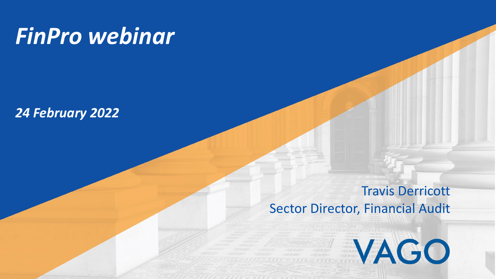# *FinPro webinar*

## *24 February 2022*

## Travis Derricott

VAGO

## Sector Director, Financial Audit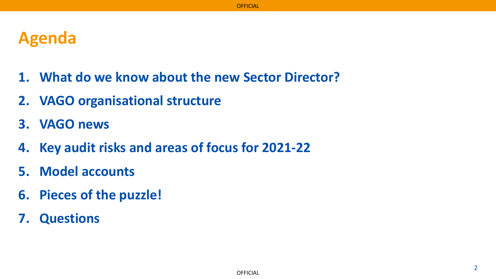## **Agenda**

- **1. What do we know about the new Sector Director?**
- **2. VAGO organisational structure**
- **3. VAGO news**
- **4. Key audit risks and areas of focus for 2021-22**
- **5. Model accounts**
- **6. Pieces of the puzzle!**
- **7. Questions**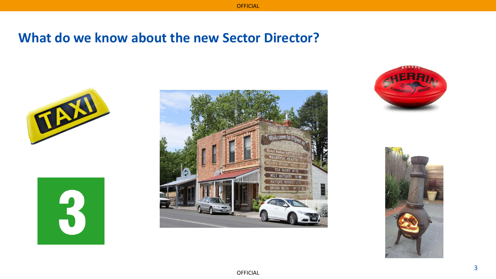## **What do we know about the new Sector Director?**









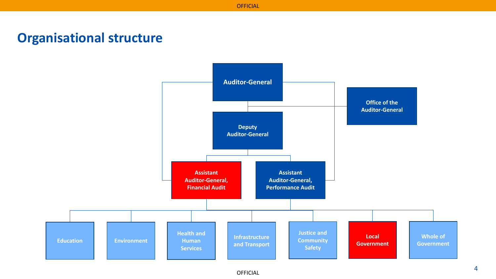## **Organisational structure**

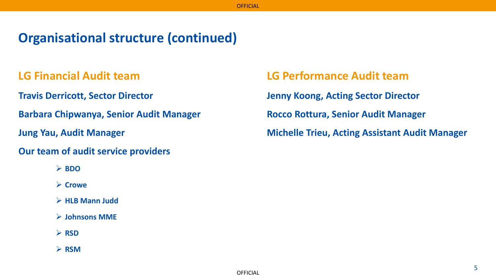## **Organisational structure (continued)**

#### **LG Financial Audit team**

**Travis Derricott, Sector Director**

**Barbara Chipwanya, Senior Audit Manager**

**Jung Yau, Audit Manager**

#### **Our team of audit service providers**

- ➢ **BDO**
- ➢ **Crowe**
- ➢ **HLB Mann Judd**
- ➢ **Johnsons MME**

#### ➢ **RSD**

➢ **RSM**

**LG Performance Audit team Jenny Koong, Acting Sector Director Rocco Rottura, Senior Audit Manager Michelle Trieu, Acting Assistant Audit Manager**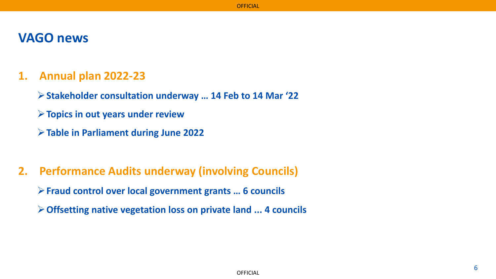### **VAGO news**

#### **1. Annual plan 2022-23**

- ➢**Stakeholder consultation underway … 14 Feb to 14 Mar '22**
- ➢**Topics in out years under review**
- ➢**Table in Parliament during June 2022**
- **2. Performance Audits underway (involving Councils)**
	- ➢**Fraud control over local government grants … 6 councils**
	- ➢**Offsetting native vegetation loss on private land ... 4 councils**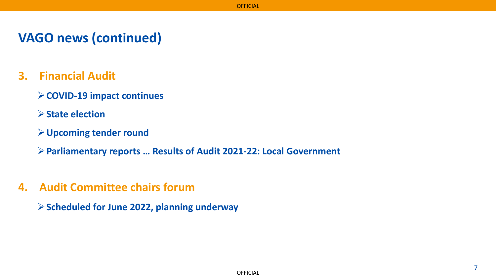## **VAGO news (continued)**

- **3. Financial Audit** 
	- ➢**COVID-19 impact continues**
	- ➢**State election**
	- ➢**Upcoming tender round**

➢**Parliamentary reports … Results of Audit 2021-22: Local Government** 

**4. Audit Committee chairs forum**

➢**Scheduled for June 2022, planning underway**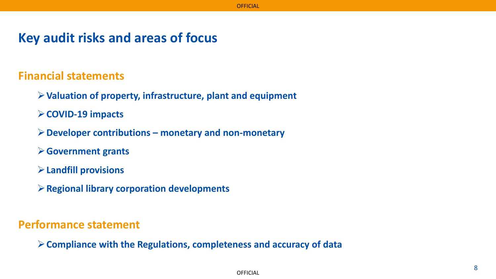## **Key audit risks and areas of focus**

**Financial statements**

- ➢**Valuation of property, infrastructure, plant and equipment**
- ➢**COVID-19 impacts**
- ➢**Developer contributions – monetary and non-monetary**
- ➢**Government grants**
- ➢**Landfill provisions**
- ➢**Regional library corporation developments**

**Performance statement**

➢**Compliance with the Regulations, completeness and accuracy of data**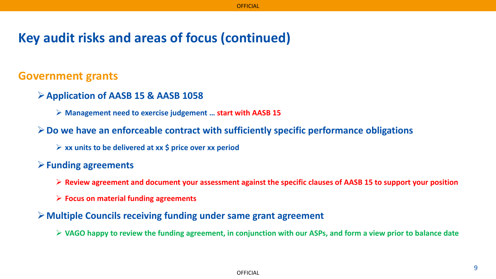## **Key audit risks and areas of focus (continued)**

#### **Government grants**

- ➢**Application of AASB 15 & AASB 1058**
	- ➢ **Management need to exercise judgement … start with AASB 15**
- ➢**Do we have an enforceable contract with sufficiently specific performance obligations**
	- ➢ **xx units to be delivered at xx \$ price over xx period**

#### ➢**Funding agreements**

- ➢ **Review agreement and document your assessment against the specific clauses of AASB 15 to support your position**
- ➢ **Focus on material funding agreements**
- ➢**Multiple Councils receiving funding under same grant agreement**
	- ➢ **VAGO happy to review the funding agreement, in conjunction with our ASPs, and form a view prior to balance date**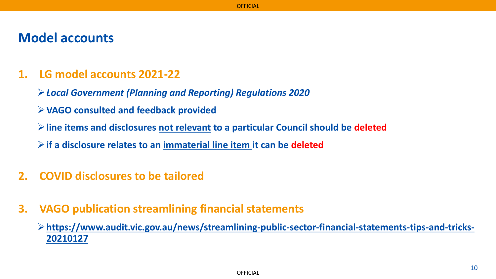## **Model accounts**

### **1. LG model accounts 2021-22**

- ➢*Local Government (Planning and Reporting) Regulations 2020*
- ➢**VAGO consulted and feedback provided**
- ➢**line items and disclosures not relevant to a particular Council should be deleted**

➢**if a disclosure relates to an immaterial line item it can be deleted** 

- **2. COVID disclosures to be tailored**
- **3. VAGO publication streamlining financial statements**

➢**[https://www.audit.vic.gov.au/news/streamlining-public-sector-financial-statements-tips-and-tricks-](https://www.audit.vic.gov.au/news/streamlining-public-sector-financial-statements-tips-and-tricks-20210127)20210127**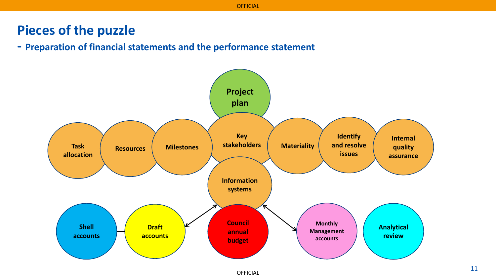## **Pieces of the puzzle**

**- Preparation of financial statements and the performance statement**